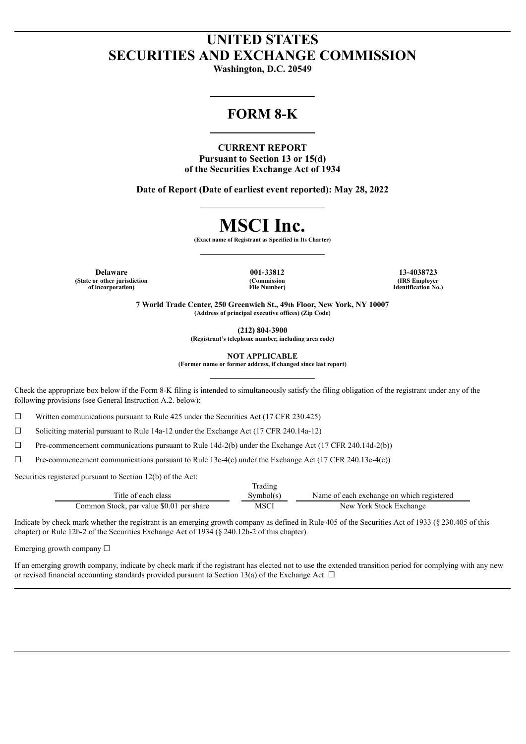# **UNITED STATES SECURITIES AND EXCHANGE COMMISSION**

**Washington, D.C. 20549**

# **FORM 8-K**

**CURRENT REPORT Pursuant to Section 13 or 15(d) of the Securities Exchange Act of 1934**

**Date of Report (Date of earliest event reported): May 28, 2022**

# **MSCI Inc.**

**(Exact name of Registrant as Specified in Its Charter)**

**Delaware 001-33812 13-4038723 (State or other jurisdiction of incorporation)**

**(Commission File Number)**

**(IRS Employer Identification No.)**

**7 World Trade Center, 250 Greenwich St., 49th Floor, New York, NY 10007 (Address of principal executive offices) (Zip Code)**

**(212) 804-3900**

**(Registrant's telephone number, including area code)**

**NOT APPLICABLE**

**(Former name or former address, if changed since last report)**

Check the appropriate box below if the Form 8-K filing is intended to simultaneously satisfy the filing obligation of the registrant under any of the following provisions (see General Instruction A.2. below):

 $\Box$  Written communications pursuant to Rule 425 under the Securities Act (17 CFR 230.425)

 $\Box$  Soliciting material pursuant to Rule 14a-12 under the Exchange Act (17 CFR 240.14a-12)

 $\Box$  Pre-commencement communications pursuant to Rule 14d-2(b) under the Exchange Act (17 CFR 240.14d-2(b))

 $\Box$  Pre-commencement communications pursuant to Rule 13e-4(c) under the Exchange Act (17 CFR 240.13e-4(c))

Securities registered pursuant to Section 12(b) of the Act:

|                                          | Trading   |                                           |
|------------------------------------------|-----------|-------------------------------------------|
| Title of each class                      | Symbol(s) | Name of each exchange on which registered |
| Common Stock, par value \$0.01 per share | MSCI      | New York Stock Exchange                   |

Indicate by check mark whether the registrant is an emerging growth company as defined in Rule 405 of the Securities Act of 1933 (§ 230.405 of this chapter) or Rule 12b-2 of the Securities Exchange Act of 1934 (§ 240.12b-2 of this chapter).

Emerging growth company  $\Box$ 

If an emerging growth company, indicate by check mark if the registrant has elected not to use the extended transition period for complying with any new or revised financial accounting standards provided pursuant to Section 13(a) of the Exchange Act.  $\Box$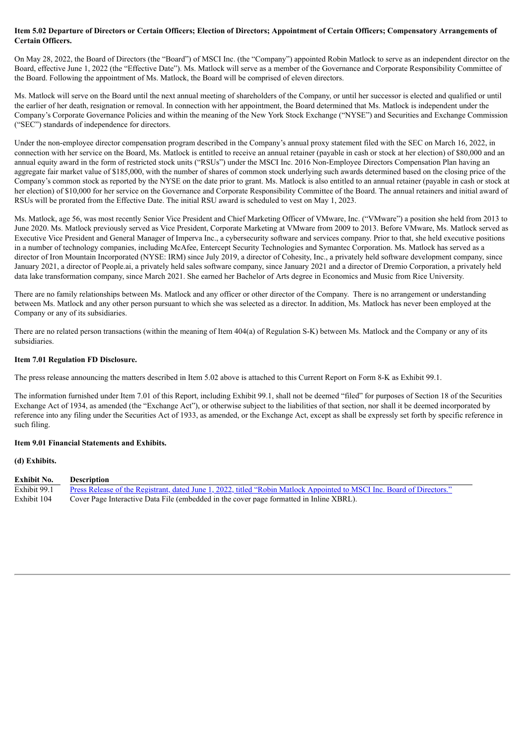#### Item 5.02 Departure of Directors or Certain Officers; Election of Directors; Appointment of Certain Officers; Compensatory Arrangements of **Certain Officers.**

On May 28, 2022, the Board of Directors (the "Board") of MSCI Inc. (the "Company") appointed Robin Matlock to serve as an independent director on the Board, effective June 1, 2022 (the "Effective Date"). Ms. Matlock will serve as a member of the Governance and Corporate Responsibility Committee of the Board. Following the appointment of Ms. Matlock, the Board will be comprised of eleven directors.

Ms. Matlock will serve on the Board until the next annual meeting of shareholders of the Company, or until her successor is elected and qualified or until the earlier of her death, resignation or removal. In connection with her appointment, the Board determined that Ms. Matlock is independent under the Company's Corporate Governance Policies and within the meaning of the New York Stock Exchange ("NYSE") and Securities and Exchange Commission ("SEC") standards of independence for directors.

Under the non-employee director compensation program described in the Company's annual proxy statement filed with the SEC on March 16, 2022, in connection with her service on the Board, Ms. Matlock is entitled to receive an annual retainer (payable in cash or stock at her election) of \$80,000 and an annual equity award in the form of restricted stock units ("RSUs") under the MSCI Inc. 2016 Non-Employee Directors Compensation Plan having an aggregate fair market value of \$185,000, with the number of shares of common stock underlying such awards determined based on the closing price of the Company's common stock as reported by the NYSE on the date prior to grant. Ms. Matlock is also entitled to an annual retainer (payable in cash or stock at her election) of \$10,000 for her service on the Governance and Corporate Responsibility Committee of the Board. The annual retainers and initial award of RSUs will be prorated from the Effective Date. The initial RSU award is scheduled to vest on May 1, 2023.

Ms. Matlock, age 56, was most recently Senior Vice President and Chief Marketing Officer of VMware, Inc. ("VMware") a position she held from 2013 to June 2020. Ms. Matlock previously served as Vice President, Corporate Marketing at VMware from 2009 to 2013. Before VMware, Ms. Matlock served as Executive Vice President and General Manager of Imperva Inc., a cybersecurity software and services company. Prior to that, she held executive positions in a number of technology companies, including McAfee, Entercept Security Technologies and Symantec Corporation. Ms. Matlock has served as a director of Iron Mountain Incorporated (NYSE: IRM) since July 2019, a director of Cohesity, Inc., a privately held software development company, since January 2021, a director of People.ai, a privately held sales software company, since January 2021 and a director of Dremio Corporation, a privately held data lake transformation company, since March 2021. She earned her Bachelor of Arts degree in Economics and Music from Rice University.

There are no family relationships between Ms. Matlock and any officer or other director of the Company. There is no arrangement or understanding between Ms. Matlock and any other person pursuant to which she was selected as a director. In addition, Ms. Matlock has never been employed at the Company or any of its subsidiaries.

There are no related person transactions (within the meaning of Item 404(a) of Regulation S-K) between Ms. Matlock and the Company or any of its subsidiaries.

#### **Item 7.01 Regulation FD Disclosure.**

The press release announcing the matters described in Item 5.02 above is attached to this Current Report on Form 8-K as Exhibit 99.1.

The information furnished under Item 7.01 of this Report, including Exhibit 99.1, shall not be deemed "filed" for purposes of Section 18 of the Securities Exchange Act of 1934, as amended (the "Exchange Act"), or otherwise subject to the liabilities of that section, nor shall it be deemed incorporated by reference into any filing under the Securities Act of 1933, as amended, or the Exchange Act, except as shall be expressly set forth by specific reference in such filing.

#### **Item 9.01 Financial Statements and Exhibits.**

#### **(d) Exhibits.**

| <b>Exhibit No.</b> | <b>Description</b>                                                                                                     |
|--------------------|------------------------------------------------------------------------------------------------------------------------|
| Exhibit 99.1       | Press Release of the Registrant, dated June 1, 2022, titled "Robin Matlock Appointed to MSCI Inc. Board of Directors." |
| Exhibit 104        | Cover Page Interactive Data File (embedded in the cover page formatted in Inline XBRL).                                |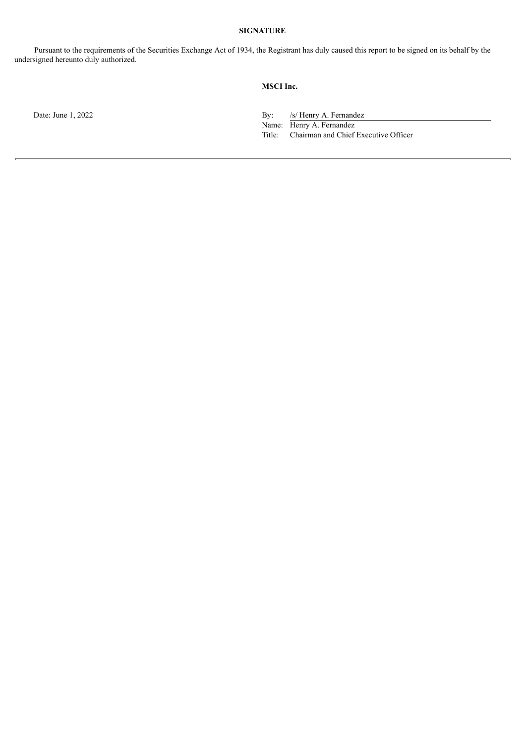## **SIGNATURE**

Pursuant to the requirements of the Securities Exchange Act of 1934, the Registrant has duly caused this report to be signed on its behalf by the undersigned hereunto duly authorized.

## **MSCI Inc.**

Date: June 1, 2022 By: /s/ Henry A. Fernandez

Name: Henry A. Fernandez<br>Title: Chairman and Chief Chairman and Chief Executive Officer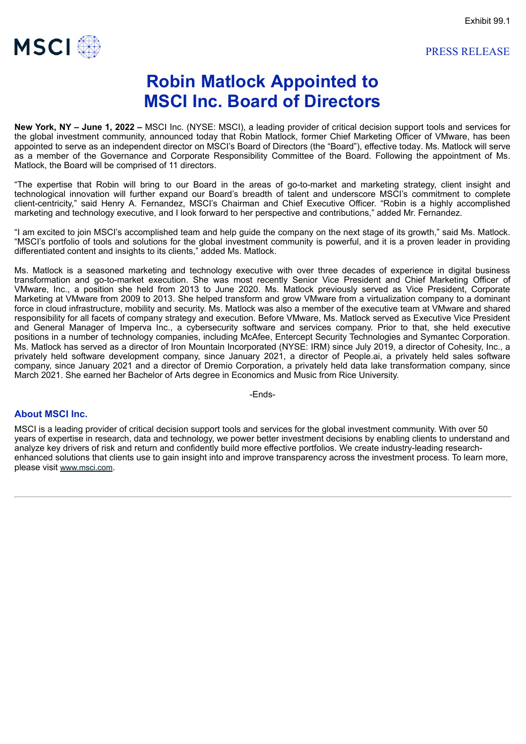

<span id="page-3-0"></span>

# **Robin Matlock Appointed to MSCI Inc. Board of Directors**

**New York, NY – June 1, 2022 –** MSCI Inc. (NYSE: MSCI), a leading provider of critical decision support tools and services for the global investment community, announced today that Robin Matlock, former Chief Marketing Officer of VMware, has been appointed to serve as an independent director on MSCI's Board of Directors (the "Board"), effective today. Ms. Matlock will serve as a member of the Governance and Corporate Responsibility Committee of the Board. Following the appointment of Ms. Matlock, the Board will be comprised of 11 directors.

"The expertise that Robin will bring to our Board in the areas of go-to-market and marketing strategy, client insight and technological innovation will further expand our Board's breadth of talent and underscore MSCI's commitment to complete client-centricity," said Henry A. Fernandez, MSCI's Chairman and Chief Executive Officer. "Robin is a highly accomplished marketing and technology executive, and I look forward to her perspective and contributions," added Mr. Fernandez.

"I am excited to join MSCI's accomplished team and help guide the company on the next stage of its growth," said Ms. Matlock. "MSCI's portfolio of tools and solutions for the global investment community is powerful, and it is a proven leader in providing differentiated content and insights to its clients," added Ms. Matlock.

Ms. Matlock is a seasoned marketing and technology executive with over three decades of experience in digital business transformation and go-to-market execution. She was most recently Senior Vice President and Chief Marketing Officer of VMware, Inc., a position she held from 2013 to June 2020. Ms. Matlock previously served as Vice President, Corporate Marketing at VMware from 2009 to 2013. She helped transform and grow VMware from a virtualization company to a dominant force in cloud infrastructure, mobility and security. Ms. Matlock was also a member of the executive team at VMware and shared responsibility for all facets of company strategy and execution. Before VMware, Ms. Matlock served as Executive Vice President and General Manager of Imperva Inc., a cybersecurity software and services company. Prior to that, she held executive positions in a number of technology companies, including McAfee, Entercept Security Technologies and Symantec Corporation. Ms. Matlock has served as a director of Iron Mountain Incorporated (NYSE: IRM) since July 2019, a director of Cohesity, Inc., a privately held software development company, since January 2021, a director of People.ai, a privately held sales software company, since January 2021 and a director of Dremio Corporation, a privately held data lake transformation company, since March 2021. She earned her Bachelor of Arts degree in Economics and Music from Rice University.

-Ends-

#### **About MSCI Inc.**

MSCI is a leading provider of critical decision support tools and services for the global investment community. With over 50 years of expertise in research, data and technology, we power better investment decisions by enabling clients to understand and analyze key drivers of risk and return and confidently build more effective portfolios. We create industry-leading researchenhanced solutions that clients use to gain insight into and improve transparency across the investment process. To learn more, please visit www.msci.com.